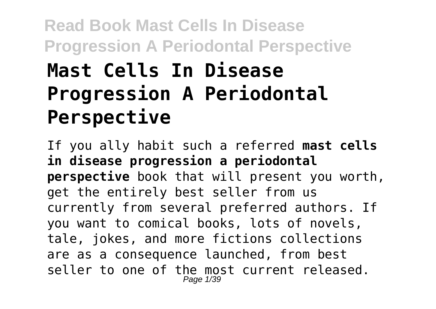# **Read Book Mast Cells In Disease Progression A Periodontal Perspective Mast Cells In Disease Progression A Periodontal Perspective**

If you ally habit such a referred **mast cells in disease progression a periodontal perspective** book that will present you worth, get the entirely best seller from us currently from several preferred authors. If you want to comical books, lots of novels, tale, jokes, and more fictions collections are as a consequence launched, from best seller to one of the most current released. Page 1/39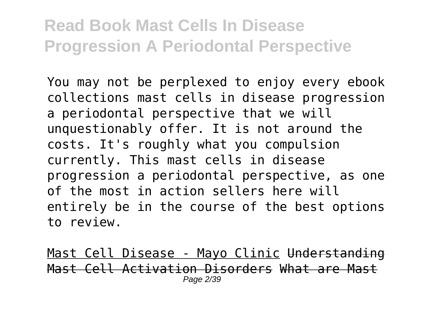You may not be perplexed to enjoy every ebook collections mast cells in disease progression a periodontal perspective that we will unquestionably offer. It is not around the costs. It's roughly what you compulsion currently. This mast cells in disease progression a periodontal perspective, as one of the most in action sellers here will entirely be in the course of the best options to review.

Mast Cell Disease - Mayo Clinic Understanding Mast Cell Activation Disorders What are Mast Page 2/39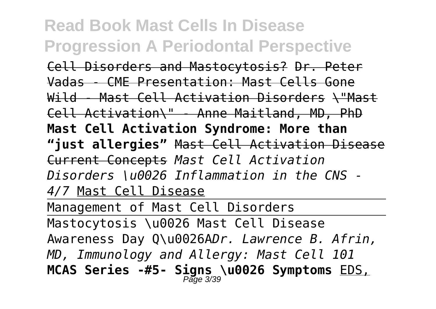Cell Disorders and Mastocytosis? Dr. Peter Vadas - CME Presentation: Mast Cells Gone Wild - Mast Cell Activation Disorders \ "Mast Cell Activation\" - Anne Maitland, MD, PhD **Mast Cell Activation Syndrome: More than "just allergies"** Mast Cell Activation Disease Current Concepts *Mast Cell Activation Disorders \u0026 Inflammation in the CNS - 4/7* Mast Cell Disease

Management of Mast Cell Disorders

Mastocytosis \u0026 Mast Cell Disease Awareness Day Q\u0026A*Dr. Lawrence B. Afrin, MD, Immunology and Allergy: Mast Cell 101* **MCAS Series -#5- Signs \u0026 Symptoms** EDS, Page 3/39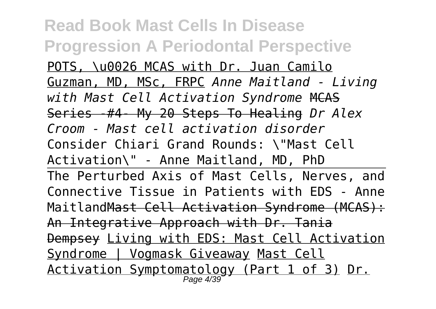**Read Book Mast Cells In Disease Progression A Periodontal Perspective** POTS, \u0026 MCAS with Dr. Juan Camilo Guzman, MD, MSc, FRPC *Anne Maitland - Living with Mast Cell Activation Syndrome* MCAS Series -#4- My 20 Steps To Healing *Dr Alex Croom - Mast cell activation disorder* Consider Chiari Grand Rounds: \"Mast Cell Activation\" - Anne Maitland, MD, PhD The Perturbed Axis of Mast Cells, Nerves, and Connective Tissue in Patients with EDS - Anne Maitland Mast Cell Activation Syndrome (MCAS): An Integrative Approach with Dr. Tania Dempsey Living with EDS: Mast Cell Activation Syndrome | Vogmask Giveaway Mast Cell <u>Activation Symptomatology (Part 1 of 3)</u> <u>Dr.</u><br>Page 4/39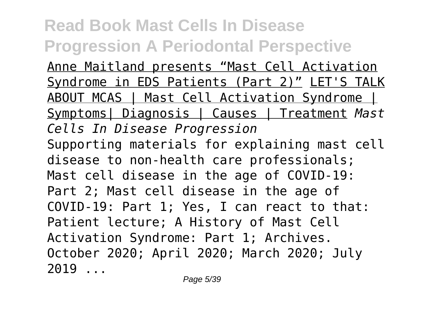Anne Maitland presents "Mast Cell Activation Syndrome in EDS Patients (Part 2)" LET'S TALK ABOUT MCAS | Mast Cell Activation Syndrome | Symptoms| Diagnosis | Causes | Treatment *Mast Cells In Disease Progression* Supporting materials for explaining mast cell disease to non-health care professionals; Mast cell disease in the age of COVID-19: Part 2; Mast cell disease in the age of COVID-19: Part 1; Yes, I can react to that: Patient lecture; A History of Mast Cell Activation Syndrome: Part 1; Archives. October 2020; April 2020; March 2020; July 2019 ...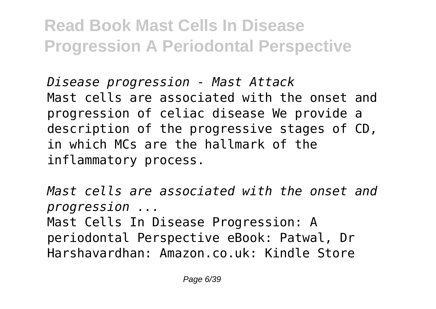*Disease progression - Mast Attack* Mast cells are associated with the onset and progression of celiac disease We provide a description of the progressive stages of CD, in which MCs are the hallmark of the inflammatory process.

*Mast cells are associated with the onset and progression ...*

Mast Cells In Disease Progression: A periodontal Perspective eBook: Patwal, Dr Harshavardhan: Amazon.co.uk: Kindle Store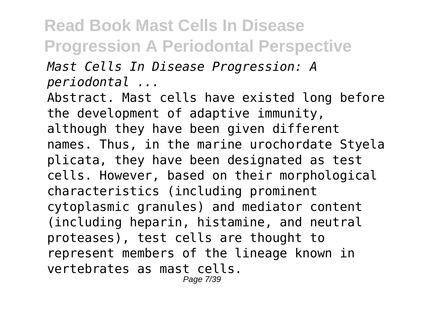*Mast Cells In Disease Progression: A periodontal ...*

Abstract. Mast cells have existed long before the development of adaptive immunity, although they have been given different names. Thus, in the marine urochordate Styela plicata, they have been designated as test cells. However, based on their morphological characteristics (including prominent cytoplasmic granules) and mediator content (including heparin, histamine, and neutral proteases), test cells are thought to represent members of the lineage known in vertebrates as mast cells.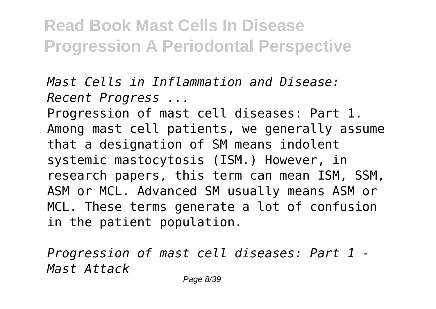*Mast Cells in Inflammation and Disease: Recent Progress ...*

Progression of mast cell diseases: Part 1. Among mast cell patients, we generally assume that a designation of SM means indolent systemic mastocytosis (ISM.) However, in research papers, this term can mean ISM, SSM, ASM or MCL. Advanced SM usually means ASM or MCL. These terms generate a lot of confusion in the patient population.

*Progression of mast cell diseases: Part 1 - Mast Attack*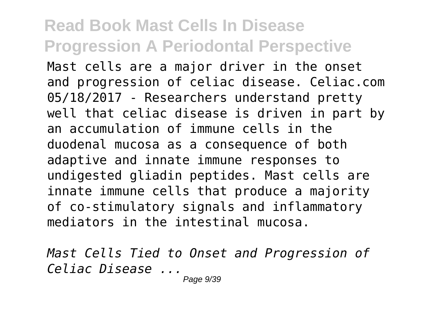Mast cells are a major driver in the onset and progression of celiac disease. Celiac.com 05/18/2017 - Researchers understand pretty well that celiac disease is driven in part by an accumulation of immune cells in the duodenal mucosa as a consequence of both adaptive and innate immune responses to undigested gliadin peptides. Mast cells are innate immune cells that produce a majority of co-stimulatory signals and inflammatory mediators in the intestinal mucosa.

*Mast Cells Tied to Onset and Progression of Celiac Disease ...*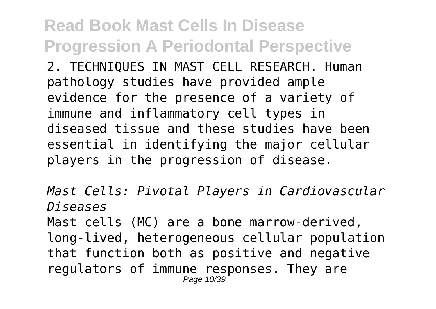2. TECHNIQUES IN MAST CELL RESEARCH. Human pathology studies have provided ample evidence for the presence of a variety of immune and inflammatory cell types in diseased tissue and these studies have been essential in identifying the major cellular players in the progression of disease.

*Mast Cells: Pivotal Players in Cardiovascular Diseases* Mast cells (MC) are a bone marrow-derived, long-lived, heterogeneous cellular population that function both as positive and negative regulators of immune responses. They are Page 10/39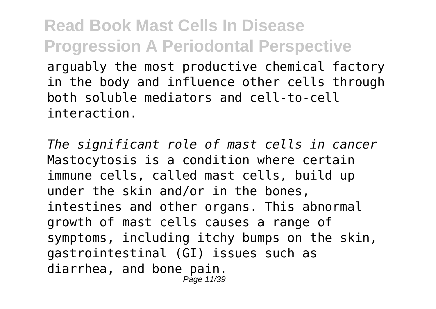**Read Book Mast Cells In Disease Progression A Periodontal Perspective** arguably the most productive chemical factory in the body and influence other cells through both soluble mediators and cell-to-cell interaction.

*The significant role of mast cells in cancer* Mastocytosis is a condition where certain immune cells, called mast cells, build up under the skin and/or in the bones, intestines and other organs. This abnormal growth of mast cells causes a range of symptoms, including itchy bumps on the skin, gastrointestinal (GI) issues such as diarrhea, and bone pain. Page 11/39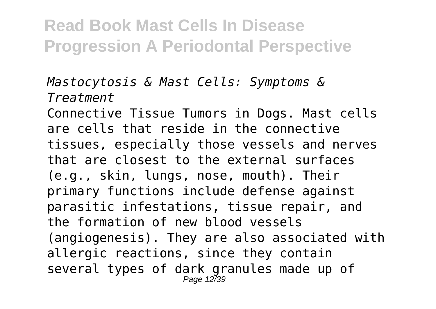#### *Mastocytosis & Mast Cells: Symptoms & Treatment*

Connective Tissue Tumors in Dogs. Mast cells are cells that reside in the connective tissues, especially those vessels and nerves that are closest to the external surfaces (e.g., skin, lungs, nose, mouth). Their primary functions include defense against parasitic infestations, tissue repair, and the formation of new blood vessels (angiogenesis). They are also associated with allergic reactions, since they contain several types of dark granules made up of Page 12739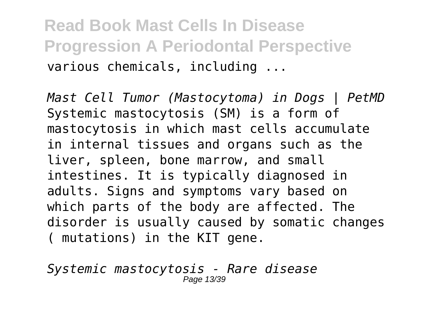**Read Book Mast Cells In Disease Progression A Periodontal Perspective** various chemicals, including ...

*Mast Cell Tumor (Mastocytoma) in Dogs | PetMD* Systemic mastocytosis (SM) is a form of mastocytosis in which mast cells accumulate in internal tissues and organs such as the liver, spleen, bone marrow, and small intestines. It is typically diagnosed in adults. Signs and symptoms vary based on which parts of the body are affected. The disorder is usually caused by somatic changes ( mutations) in the KIT gene.

*Systemic mastocytosis - Rare disease* Page 13/39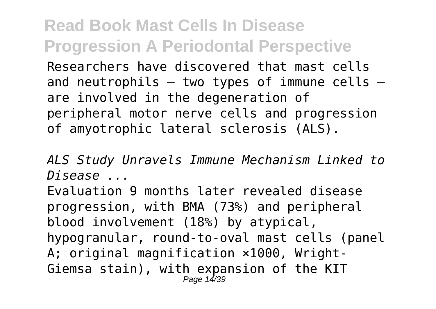Researchers have discovered that mast cells and neutrophils  $-$  two types of immune cells  $$ are involved in the degeneration of peripheral motor nerve cells and progression of amyotrophic lateral sclerosis (ALS).

*ALS Study Unravels Immune Mechanism Linked to Disease ...*

Evaluation 9 months later revealed disease progression, with BMA (73%) and peripheral blood involvement (18%) by atypical, hypogranular, round-to-oval mast cells (panel A: original magnification  $\times 1000$ , Wright-Giemsa stain), with expansion of the KIT Page 14/39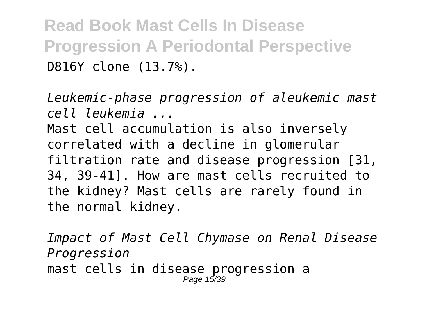**Read Book Mast Cells In Disease Progression A Periodontal Perspective** D816Y clone (13.7%).

*Leukemic-phase progression of aleukemic mast cell leukemia ...* Mast cell accumulation is also inversely correlated with a decline in glomerular filtration rate and disease progression [31, 34, 39-41]. How are mast cells recruited to the kidney? Mast cells are rarely found in the normal kidney.

*Impact of Mast Cell Chymase on Renal Disease Progression* mast cells in disease progression a Page 15/39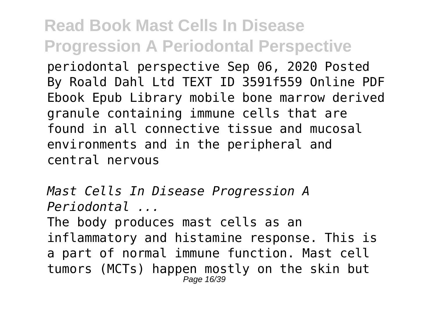periodontal perspective Sep 06, 2020 Posted By Roald Dahl Ltd TEXT ID 3591f559 Online PDF Ebook Epub Library mobile bone marrow derived granule containing immune cells that are found in all connective tissue and mucosal environments and in the peripheral and central nervous

*Mast Cells In Disease Progression A Periodontal ...* The body produces mast cells as an inflammatory and histamine response. This is a part of normal immune function. Mast cell tumors (MCTs) happen mostly on the skin but Page 16/39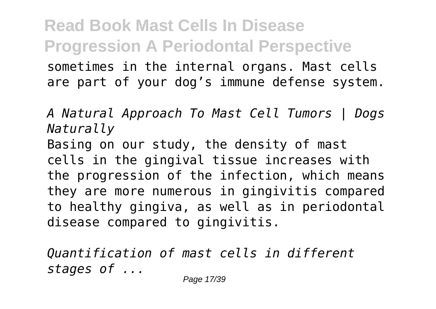**Read Book Mast Cells In Disease Progression A Periodontal Perspective** sometimes in the internal organs. Mast cells are part of your dog's immune defense system.

*A Natural Approach To Mast Cell Tumors | Dogs Naturally* Basing on our study, the density of mast cells in the gingival tissue increases with the progression of the infection, which means they are more numerous in gingivitis compared to healthy gingiva, as well as in periodontal disease compared to gingivitis.

*Quantification of mast cells in different stages of ...*

Page 17/39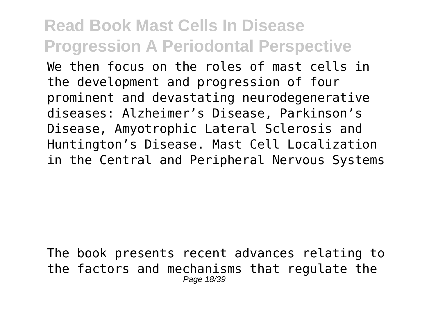We then focus on the roles of mast cells in the development and progression of four prominent and devastating neurodegenerative diseases: Alzheimer's Disease, Parkinson's Disease, Amyotrophic Lateral Sclerosis and Huntington's Disease. Mast Cell Localization in the Central and Peripheral Nervous Systems

The book presents recent advances relating to the factors and mechanisms that regulate the Page 18/39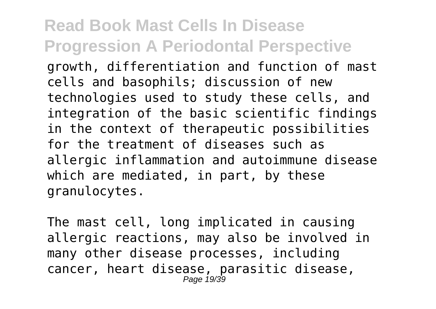growth, differentiation and function of mast cells and basophils; discussion of new technologies used to study these cells, and integration of the basic scientific findings in the context of therapeutic possibilities for the treatment of diseases such as allergic inflammation and autoimmune disease which are mediated, in part, by these granulocytes.

The mast cell, long implicated in causing allergic reactions, may also be involved in many other disease processes, including cancer, heart disease, parasitic disease, Page 19/39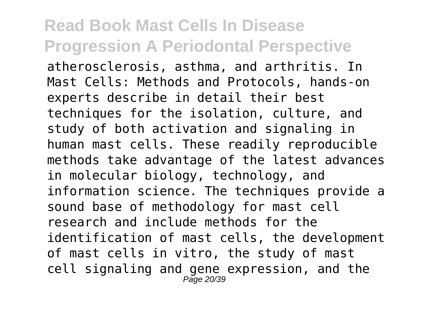atherosclerosis, asthma, and arthritis. In Mast Cells: Methods and Protocols, hands-on experts describe in detail their best techniques for the isolation, culture, and study of both activation and signaling in human mast cells. These readily reproducible methods take advantage of the latest advances in molecular biology, technology, and information science. The techniques provide a sound base of methodology for mast cell research and include methods for the identification of mast cells, the development of mast cells in vitro, the study of mast cell signaling and gene expression, and the  $P$ age 20/39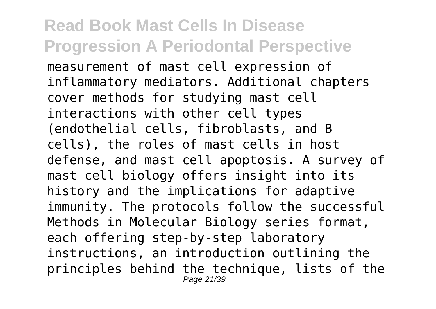#### **Read Book Mast Cells In Disease Progression A Periodontal Perspective** measurement of mast cell expression of inflammatory mediators. Additional chapters cover methods for studying mast cell interactions with other cell types (endothelial cells, fibroblasts, and B cells), the roles of mast cells in host defense, and mast cell apoptosis. A survey of mast cell biology offers insight into its history and the implications for adaptive immunity. The protocols follow the successful Methods in Molecular Biology series format, each offering step-by-step laboratory instructions, an introduction outlining the principles behind the technique, lists of the Page 21/39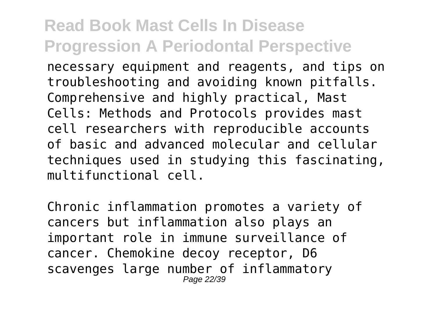necessary equipment and reagents, and tips on troubleshooting and avoiding known pitfalls. Comprehensive and highly practical, Mast Cells: Methods and Protocols provides mast cell researchers with reproducible accounts of basic and advanced molecular and cellular techniques used in studying this fascinating, multifunctional cell.

Chronic inflammation promotes a variety of cancers but inflammation also plays an important role in immune surveillance of cancer. Chemokine decoy receptor, D6 scavenges large number of inflammatory Page 22/39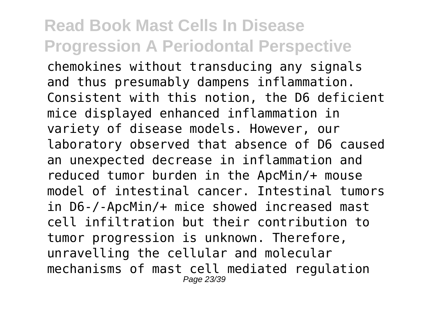chemokines without transducing any signals and thus presumably dampens inflammation. Consistent with this notion, the D6 deficient mice displayed enhanced inflammation in variety of disease models. However, our laboratory observed that absence of D6 caused an unexpected decrease in inflammation and reduced tumor burden in the ApcMin/+ mouse model of intestinal cancer. Intestinal tumors in D6-/-ApcMin/+ mice showed increased mast cell infiltration but their contribution to tumor progression is unknown. Therefore, unravelling the cellular and molecular mechanisms of mast cell mediated regulation Page 23/39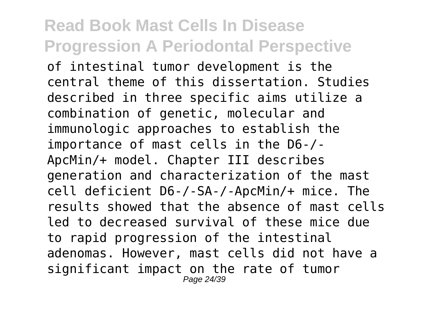of intestinal tumor development is the central theme of this dissertation. Studies described in three specific aims utilize a combination of genetic, molecular and immunologic approaches to establish the importance of mast cells in the D6-/- ApcMin/+ model. Chapter III describes generation and characterization of the mast cell deficient D6-/-SA-/-ApcMin/+ mice. The results showed that the absence of mast cells led to decreased survival of these mice due to rapid progression of the intestinal adenomas. However, mast cells did not have a significant impact on the rate of tumor Page 24/39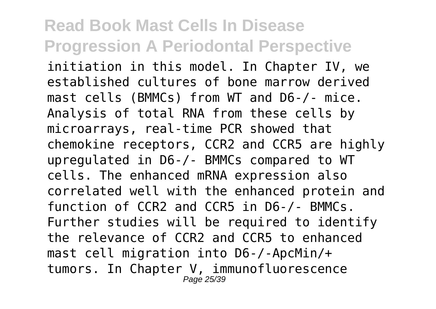initiation in this model. In Chapter IV, we established cultures of bone marrow derived mast cells (BMMCs) from WT and D6-/- mice. Analysis of total RNA from these cells by microarrays, real-time PCR showed that chemokine receptors, CCR2 and CCR5 are highly upregulated in D6-/- BMMCs compared to WT cells. The enhanced mRNA expression also correlated well with the enhanced protein and function of CCR2 and CCR5 in D6-/- BMMCs. Further studies will be required to identify the relevance of CCR2 and CCR5 to enhanced mast cell migration into D6-/-ApcMin/+ tumors. In Chapter V, immunofluorescence Page 25/39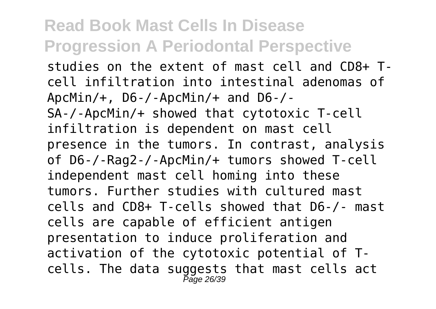studies on the extent of mast cell and CD8+ Tcell infiltration into intestinal adenomas of ApcMin/+, D6-/-ApcMin/+ and D6-/- SA-/-ApcMin/+ showed that cytotoxic T-cell infiltration is dependent on mast cell presence in the tumors. In contrast, analysis of D6-/-Rag2-/-ApcMin/+ tumors showed T-cell independent mast cell homing into these tumors. Further studies with cultured mast cells and CD8+ T-cells showed that D6-/- mast cells are capable of efficient antigen presentation to induce proliferation and activation of the cytotoxic potential of Tcells. The data suggests that mast cells act Page 26/39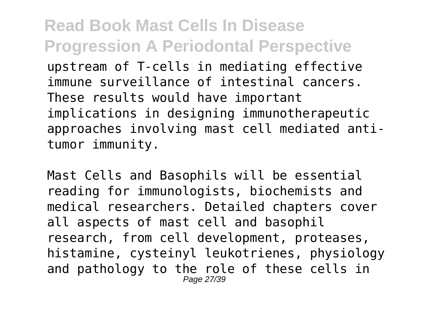**Read Book Mast Cells In Disease Progression A Periodontal Perspective** upstream of T-cells in mediating effective immune surveillance of intestinal cancers. These results would have important implications in designing immunotherapeutic approaches involving mast cell mediated antitumor immunity.

Mast Cells and Basophils will be essential reading for immunologists, biochemists and medical researchers. Detailed chapters cover all aspects of mast cell and basophil research, from cell development, proteases, histamine, cysteinyl leukotrienes, physiology and pathology to the role of these cells in Page 27/39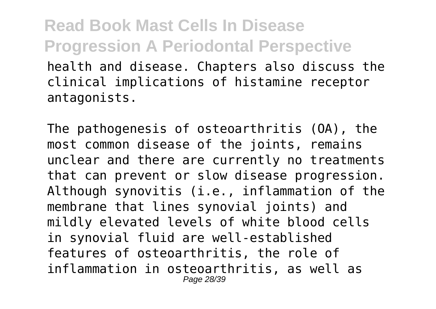**Read Book Mast Cells In Disease Progression A Periodontal Perspective** health and disease. Chapters also discuss the clinical implications of histamine receptor antagonists.

The pathogenesis of osteoarthritis (OA), the most common disease of the joints, remains unclear and there are currently no treatments that can prevent or slow disease progression. Although synovitis (i.e., inflammation of the membrane that lines synovial joints) and mildly elevated levels of white blood cells in synovial fluid are well-established features of osteoarthritis, the role of inflammation in osteoarthritis, as well as Page 28/39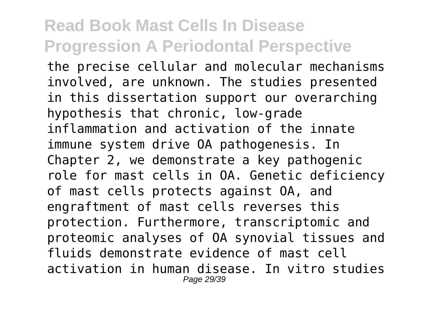the precise cellular and molecular mechanisms involved, are unknown. The studies presented in this dissertation support our overarching hypothesis that chronic, low-grade inflammation and activation of the innate immune system drive OA pathogenesis. In Chapter 2, we demonstrate a key pathogenic role for mast cells in OA. Genetic deficiency of mast cells protects against OA, and engraftment of mast cells reverses this protection. Furthermore, transcriptomic and proteomic analyses of OA synovial tissues and fluids demonstrate evidence of mast cell activation in human disease. In vitro studies Page 29/39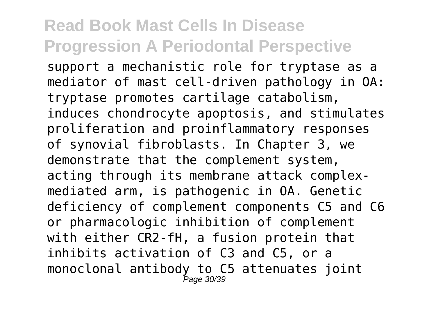support a mechanistic role for tryptase as a mediator of mast cell-driven pathology in OA: tryptase promotes cartilage catabolism, induces chondrocyte apoptosis, and stimulates proliferation and proinflammatory responses of synovial fibroblasts. In Chapter 3, we demonstrate that the complement system, acting through its membrane attack complexmediated arm, is pathogenic in OA. Genetic deficiency of complement components C5 and C6 or pharmacologic inhibition of complement with either CR2-fH, a fusion protein that inhibits activation of C3 and C5, or a monoclonal antibody to C5 attenuates joint Page 30/39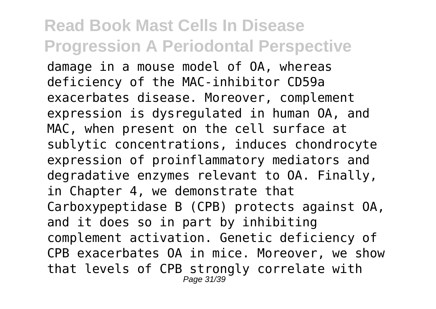#### **Read Book Mast Cells In Disease Progression A Periodontal Perspective** damage in a mouse model of OA, whereas deficiency of the MAC-inhibitor CD59a exacerbates disease. Moreover, complement expression is dysregulated in human OA, and MAC, when present on the cell surface at sublytic concentrations, induces chondrocyte expression of proinflammatory mediators and degradative enzymes relevant to OA. Finally, in Chapter 4, we demonstrate that Carboxypeptidase B (CPB) protects against OA, and it does so in part by inhibiting complement activation. Genetic deficiency of CPB exacerbates OA in mice. Moreover, we show that levels of CPB strongly correlate with Page 31/39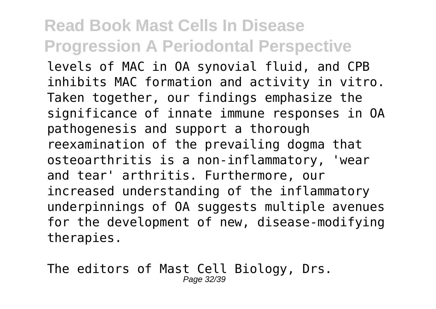levels of MAC in OA synovial fluid, and CPB inhibits MAC formation and activity in vitro. Taken together, our findings emphasize the significance of innate immune responses in OA pathogenesis and support a thorough reexamination of the prevailing dogma that osteoarthritis is a non-inflammatory, 'wear and tear' arthritis. Furthermore, our increased understanding of the inflammatory underpinnings of OA suggests multiple avenues for the development of new, disease-modifying therapies.

The editors of Mast Cell Biology, Drs. Page 32/39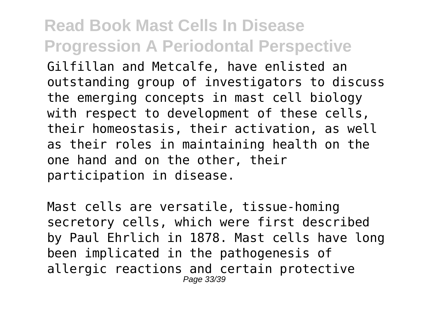Gilfillan and Metcalfe, have enlisted an outstanding group of investigators to discuss the emerging concepts in mast cell biology with respect to development of these cells, their homeostasis, their activation, as well as their roles in maintaining health on the one hand and on the other, their participation in disease.

Mast cells are versatile, tissue-homing secretory cells, which were first described by Paul Ehrlich in 1878. Mast cells have long been implicated in the pathogenesis of allergic reactions and certain protective Page 33/39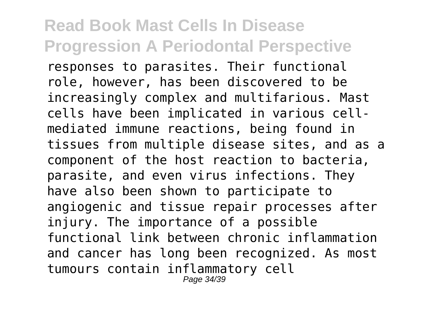responses to parasites. Their functional role, however, has been discovered to be increasingly complex and multifarious. Mast cells have been implicated in various cellmediated immune reactions, being found in tissues from multiple disease sites, and as a component of the host reaction to bacteria, parasite, and even virus infections. They have also been shown to participate to angiogenic and tissue repair processes after injury. The importance of a possible functional link between chronic inflammation and cancer has long been recognized. As most tumours contain inflammatory cell Page 34/39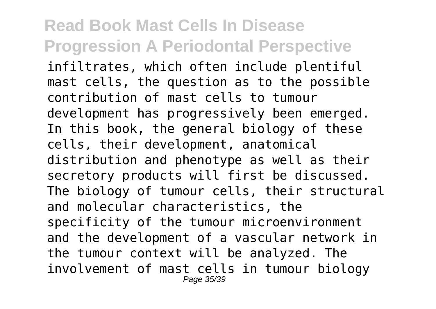infiltrates, which often include plentiful mast cells, the question as to the possible contribution of mast cells to tumour development has progressively been emerged. In this book, the general biology of these cells, their development, anatomical distribution and phenotype as well as their secretory products will first be discussed. The biology of tumour cells, their structural and molecular characteristics, the specificity of the tumour microenvironment and the development of a vascular network in the tumour context will be analyzed. The involvement of mast cells in tumour biology Page 35/39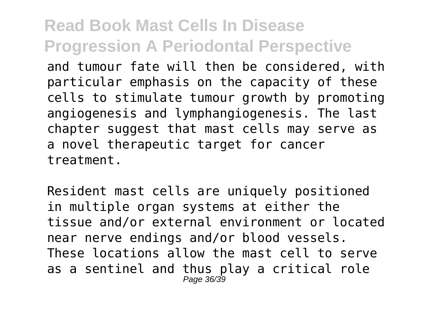and tumour fate will then be considered, with particular emphasis on the capacity of these cells to stimulate tumour growth by promoting angiogenesis and lymphangiogenesis. The last chapter suggest that mast cells may serve as a novel therapeutic target for cancer treatment.

Resident mast cells are uniquely positioned in multiple organ systems at either the tissue and/or external environment or located near nerve endings and/or blood vessels. These locations allow the mast cell to serve as a sentinel and thus play a critical role Page 36/39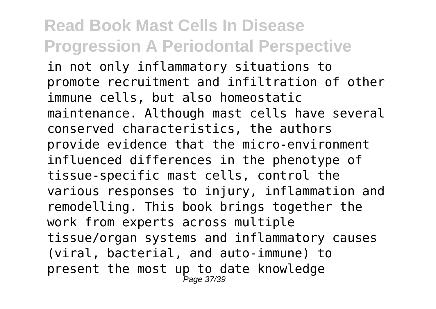in not only inflammatory situations to promote recruitment and infiltration of other immune cells, but also homeostatic maintenance. Although mast cells have several conserved characteristics, the authors provide evidence that the micro-environment influenced differences in the phenotype of tissue-specific mast cells, control the various responses to injury, inflammation and remodelling. This book brings together the work from experts across multiple tissue/organ systems and inflammatory causes (viral, bacterial, and auto-immune) to present the most up to date knowledge Page 37/39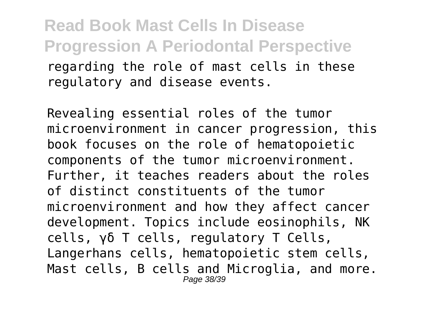**Read Book Mast Cells In Disease Progression A Periodontal Perspective** regarding the role of mast cells in these regulatory and disease events.

Revealing essential roles of the tumor microenvironment in cancer progression, this book focuses on the role of hematopoietic components of the tumor microenvironment. Further, it teaches readers about the roles of distinct constituents of the tumor microenvironment and how they affect cancer development. Topics include eosinophils, NK cells, γδ T cells, regulatory T Cells, Langerhans cells, hematopoietic stem cells, Mast cells, B cells and Microglia, and more. Page 38/39